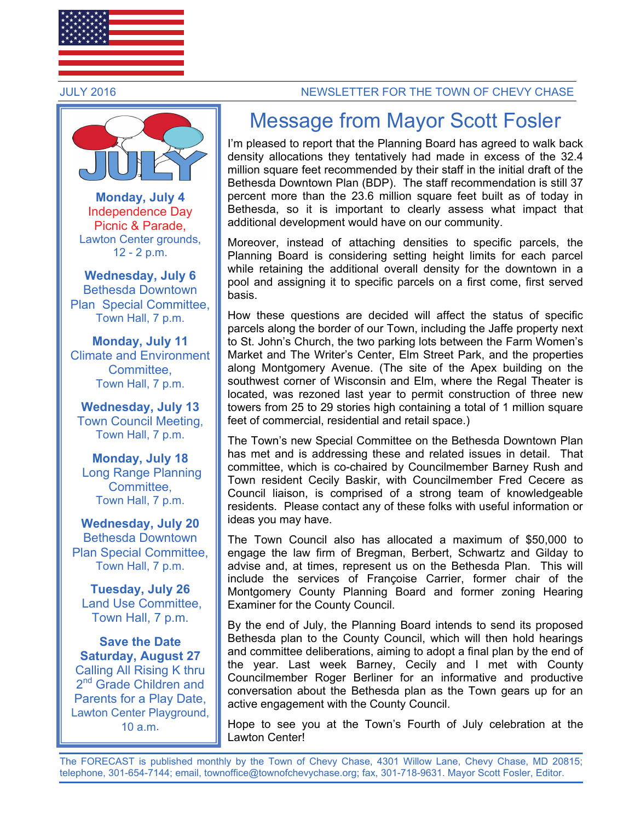



**Monday, July 4**  Independence Day Picnic & Parade, Lawton Center grounds, 12 - 2 p.m.

**Wednesday, July 6**  Bethesda Downtown Plan Special Committee, Town Hall, 7 p.m.

**Monday, July 11**  Climate and Environment **Committee** Town Hall, 7 p.m.

**Wednesday, July 13** Town Council Meeting, Town Hall, 7 p.m.

**Monday, July 18**  Long Range Planning Committee, Town Hall, 7 p.m.

**Wednesday, July 20**  Bethesda Downtown Plan Special Committee, Town Hall, 7 p.m.

**Tuesday, July 26**  Land Use Committee, Town Hall, 7 p.m.

**Save the Date Saturday, August 27**  Calling All Rising K thru 2<sup>nd</sup> Grade Children and Parents for a Play Date, Lawton Center Playground, 10 a.m.

#### JULY 2016 NEWSLETTER FOR THE TOWN OF CHEVY CHASE

# Message from Mayor Scott Fosler

I'm pleased to report that the Planning Board has agreed to walk back density allocations they tentatively had made in excess of the 32.4 million square feet recommended by their staff in the initial draft of the Bethesda Downtown Plan (BDP). The staff recommendation is still 37 percent more than the 23.6 million square feet built as of today in Bethesda, so it is important to clearly assess what impact that additional development would have on our community.

Moreover, instead of attaching densities to specific parcels, the Planning Board is considering setting height limits for each parcel while retaining the additional overall density for the downtown in a pool and assigning it to specific parcels on a first come, first served basis.

How these questions are decided will affect the status of specific parcels along the border of our Town, including the Jaffe property next to St. John's Church, the two parking lots between the Farm Women's Market and The Writer's Center, Elm Street Park, and the properties along Montgomery Avenue. (The site of the Apex building on the southwest corner of Wisconsin and Elm, where the Regal Theater is located, was rezoned last year to permit construction of three new towers from 25 to 29 stories high containing a total of 1 million square feet of commercial, residential and retail space.)

The Town's new Special Committee on the Bethesda Downtown Plan has met and is addressing these and related issues in detail. That committee, which is co-chaired by Councilmember Barney Rush and Town resident Cecily Baskir, with Councilmember Fred Cecere as Council liaison, is comprised of a strong team of knowledgeable residents. Please contact any of these folks with useful information or ideas you may have.

The Town Council also has allocated a maximum of \$50,000 to engage the law firm of Bregman, Berbert, Schwartz and Gilday to advise and, at times, represent us on the Bethesda Plan. This will include the services of Françoise Carrier, former chair of the Montgomery County Planning Board and former zoning Hearing Examiner for the County Council.

By the end of July, the Planning Board intends to send its proposed Bethesda plan to the County Council, which will then hold hearings and committee deliberations, aiming to adopt a final plan by the end of the year. Last week Barney, Cecily and I met with County Councilmember Roger Berliner for an informative and productive conversation about the Bethesda plan as the Town gears up for an active engagement with the County Council.

Hope to see you at the Town's Fourth of July celebration at the Lawton Center!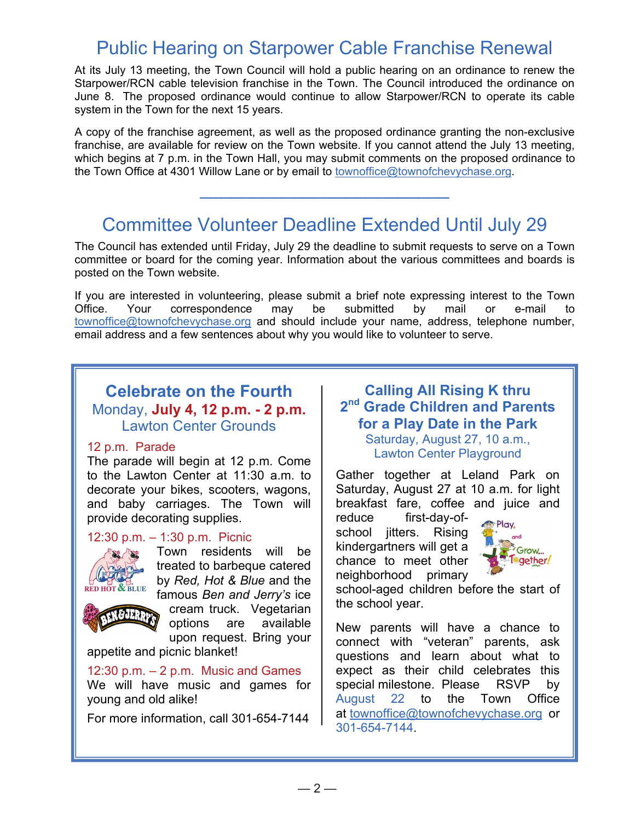# Public Hearing on Starpower Cable Franchise Renewal

At its July 13 meeting, the Town Council will hold a public hearing on an ordinance to renew the Starpower/RCN cable television franchise in the Town. The Council introduced the ordinance on June 8. The proposed ordinance would continue to allow Starpower/RCN to operate its cable system in the Town for the next 15 years.

A copy of the franchise agreement, as well as the proposed ordinance granting the non-exclusive franchise, are available for review on the Town website. If you cannot attend the July 13 meeting, which begins at 7 p.m. in the Town Hall, you may submit comments on the proposed ordinance to the Town Office at 4301 Willow Lane or by email to townoffice@townofchevychase.org.

# Committee Volunteer Deadline Extended Until July 29

\_\_\_\_\_\_\_\_\_\_\_\_\_\_\_\_\_\_\_\_\_\_\_\_

The Council has extended until Friday, July 29 the deadline to submit requests to serve on a Town committee or board for the coming year. Information about the various committees and boards is posted on the Town website.

If you are interested in volunteering, please submit a brief note expressing interest to the Town Office. Your correspondence may be submitted by mail or e-mail to townoffice@townofchevychase.org and should include your name, address, telephone number, email address and a few sentences about why you would like to volunteer to serve.

# **Celebrate on the Fourth**  Monday, **July 4, 12 p.m. - 2 p.m.** Lawton Center Grounds

#### 12 p.m. Parade

The parade will begin at 12 p.m. Come to the Lawton Center at 11:30 a.m. to decorate your bikes, scooters, wagons, and baby carriages. The Town will provide decorating supplies.

### 12:30 p.m. – 1:30 p.m. Picnic



Town residents will be treated to barbeque catered by *Red, Hot & Blue* and the famous *Ben and Jerry's* ice

*GJERRY* 

cream truck. Vegetarian options are available

upon request. Bring your appetite and picnic blanket!

#### 12:30 p.m.  $-2$  p.m. Music and Games

We will have music and games for young and old alike!

For more information, call 301-654-7144

# **Calling All Rising K thru 2nd Grade Children and Parents for a Play Date in the Park**

Saturday, August 27, 10 a.m., Lawton Center Playground

Gather together at Leland Park on Saturday, August 27 at 10 a.m. for light breakfast fare, coffee and juice and

reduce first-day-ofschool jitters. Rising kindergartners will get a chance to meet other neighborhood primary



school-aged children before the start of the school year.

New parents will have a chance to connect with "veteran" parents, ask questions and learn about what to expect as their child celebrates this special milestone. Please RSVP by August 22 to the Town Office at townoffice@townofchevychase.org or 301-654-7144.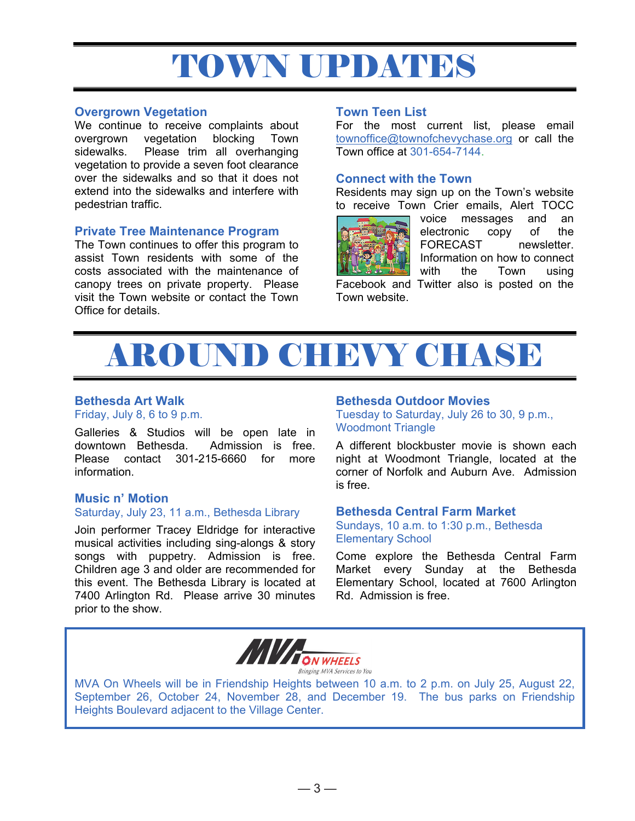# TOWN UPDATES

#### **Overgrown Vegetation**

We continue to receive complaints about overgrown vegetation blocking Town sidewalks. Please trim all overhanging vegetation to provide a seven foot clearance over the sidewalks and so that it does not extend into the sidewalks and interfere with pedestrian traffic.

### **Private Tree Maintenance Program**

The Town continues to offer this program to assist Town residents with some of the costs associated with the maintenance of canopy trees on private property. Please visit the Town website or contact the Town Office for details.

#### **Town Teen List**

For the most current list, please email townoffice@townofchevychase.org or call the Town office at 301-654-7144.

#### **Connect with the Town**

Residents may sign up on the Town's website to receive Town Crier emails, Alert TOCC



Town website.

voice messages and an electronic copy of the FORECAST newsletter. Information on how to connect with the Town using Facebook and Twitter also is posted on the



# **Bethesda Art Walk**

Friday, July 8, 6 to 9 p.m.

Galleries & Studios will be open late in downtown Bethesda. Admission is free. Please contact 301-215-6660 for more information.

#### **Music n' Motion**  Saturday, July 23, 11 a.m., Bethesda Library

Join performer Tracey Eldridge for interactive musical activities including sing-alongs & story songs with puppetry. Admission is free. Children age 3 and older are recommended for this event. The Bethesda Library is located at 7400 Arlington Rd. Please arrive 30 minutes prior to the show.

### **Bethesda Outdoor Movies**

Tuesday to Saturday, July 26 to 30, 9 p.m., Woodmont Triangle

A different blockbuster movie is shown each night at Woodmont Triangle, located at the corner of Norfolk and Auburn Ave. Admission is free.

#### **Bethesda Central Farm Market**

Sundays, 10 a.m. to 1:30 p.m., Bethesda Elementary School

Come explore the Bethesda Central Farm Market every Sunday at the Bethesda Elementary School, located at 7600 Arlington Rd. Admission is free.



MVA On Wheels will be in Friendship Heights between 10 a.m. to 2 p.m. on July 25, August 22, September 26, October 24, November 28, and December 19. The bus parks on Friendship Heights Boulevard adjacent to the Village Center.